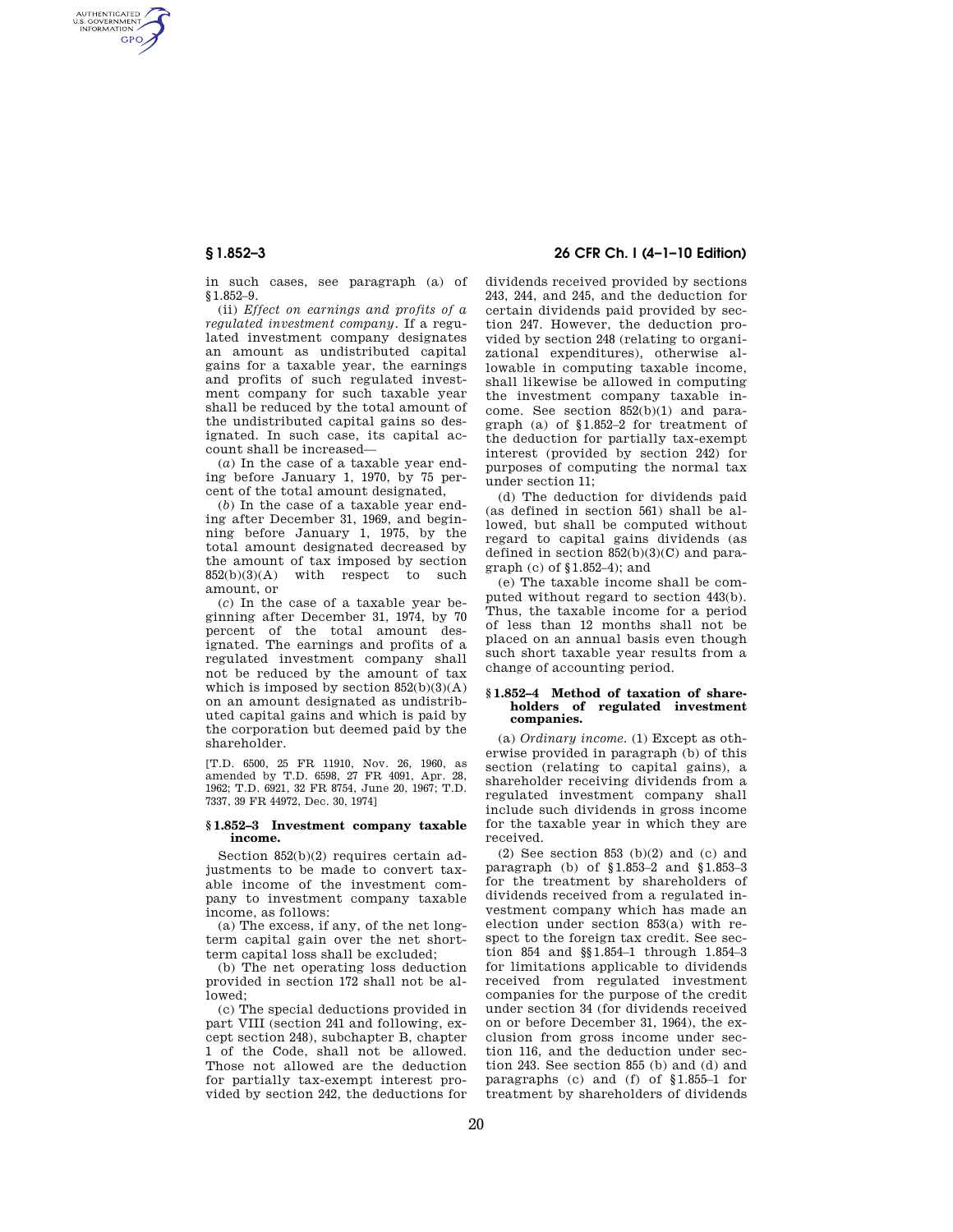AUTHENTICATED<br>U.S. GOVERNMENT<br>INFORMATION **GPO** 

> in such cases, see paragraph (a) of §1.852–9.

> (ii) *Effect on earnings and profits of a regulated investment company.* If a regulated investment company designates an amount as undistributed capital gains for a taxable year, the earnings and profits of such regulated investment company for such taxable year shall be reduced by the total amount of the undistributed capital gains so designated. In such case, its capital account shall be increased—

> (*a*) In the case of a taxable year ending before January 1, 1970, by 75 percent of the total amount designated,

(*b*) In the case of a taxable year ending after December 31, 1969, and beginning before January 1, 1975, by the total amount designated decreased by the amount of tax imposed by section  $852(b)(3)(A)$  with respect to such amount, or

(*c*) In the case of a taxable year beginning after December 31, 1974, by 70 percent of the total amount designated. The earnings and profits of a regulated investment company shall not be reduced by the amount of tax which is imposed by section 852(b)(3)(A) on an amount designated as undistributed capital gains and which is paid by the corporation but deemed paid by the shareholder.

[T.D. 6500, 25 FR 11910, Nov. 26, 1960, as amended by T.D. 6598, 27 FR 4091, Apr. 28, 1962; T.D. 6921, 32 FR 8754, June 20, 1967; T.D. 7337, 39 FR 44972, Dec. 30, 1974]

#### **§ 1.852–3 Investment company taxable income.**

Section 852(b)(2) requires certain adjustments to be made to convert taxable income of the investment company to investment company taxable income, as follows:

(a) The excess, if any, of the net longterm capital gain over the net shortterm capital loss shall be excluded;

(b) The net operating loss deduction provided in section 172 shall not be allowed;

(c) The special deductions provided in part VIII (section 241 and following, except section 248), subchapter B, chapter 1 of the Code, shall not be allowed. Those not allowed are the deduction for partially tax-exempt interest provided by section 242, the deductions for

**§ 1.852–3 26 CFR Ch. I (4–1–10 Edition)** 

dividends received provided by sections 243, 244, and 245, and the deduction for certain dividends paid provided by section 247. However, the deduction provided by section 248 (relating to organizational expenditures), otherwise allowable in computing taxable income, shall likewise be allowed in computing the investment company taxable income. See section 852(b)(1) and paragraph (a) of §1.852–2 for treatment of the deduction for partially tax-exempt interest (provided by section 242) for purposes of computing the normal tax under section 11;

(d) The deduction for dividends paid (as defined in section 561) shall be allowed, but shall be computed without regard to capital gains dividends (as defined in section  $852(b)(3)(C)$  and paragraph (c) of §1.852–4); and

(e) The taxable income shall be computed without regard to section 443(b). Thus, the taxable income for a period of less than 12 months shall not be placed on an annual basis even though such short taxable year results from a change of accounting period.

### **§ 1.852–4 Method of taxation of shareholders of regulated investment companies.**

(a) *Ordinary income.* (1) Except as otherwise provided in paragraph (b) of this section (relating to capital gains), a shareholder receiving dividends from a regulated investment company shall include such dividends in gross income for the taxable year in which they are received.

 $(2)$  See section 853  $(b)(2)$  and  $(c)$  and paragraph (b) of §1.853–2 and §1.853–3 for the treatment by shareholders of dividends received from a regulated investment company which has made an election under section 853(a) with respect to the foreign tax credit. See section 854 and §§1.854–1 through 1.854–3 for limitations applicable to dividends received from regulated investment companies for the purpose of the credit under section 34 (for dividends received on or before December 31, 1964), the exclusion from gross income under section 116, and the deduction under section 243. See section 855 (b) and (d) and paragraphs (c) and (f) of §1.855–1 for treatment by shareholders of dividends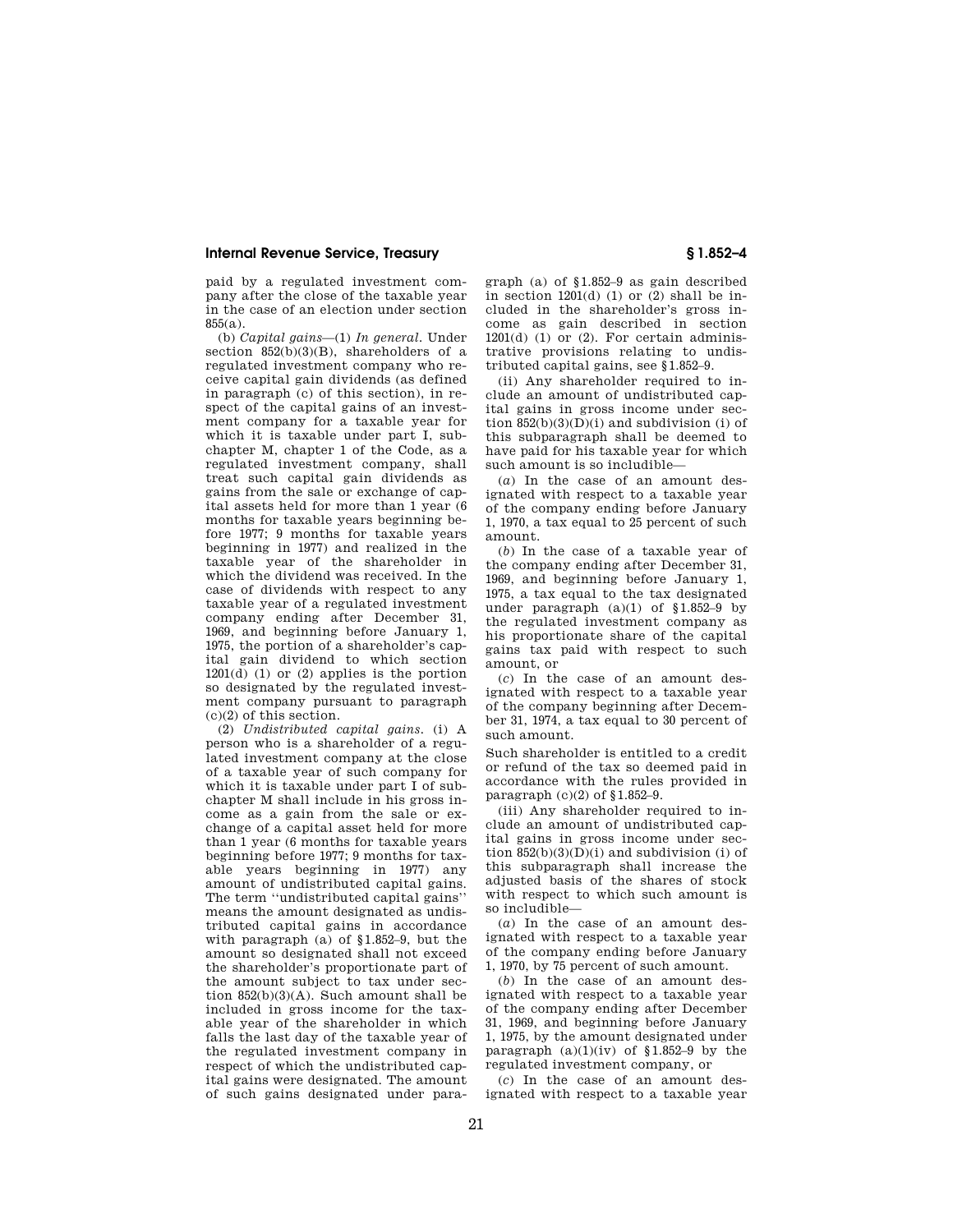# **Internal Revenue Service, Treasury § 1.852–4**

paid by a regulated investment company after the close of the taxable year in the case of an election under section 855(a).

(b) *Capital gains*—(1) *In general.* Under section  $852(b)(3)(B)$ , shareholders of a regulated investment company who receive capital gain dividends (as defined in paragraph (c) of this section), in respect of the capital gains of an investment company for a taxable year for which it is taxable under part I, subchapter M, chapter 1 of the Code, as a regulated investment company, shall treat such capital gain dividends as gains from the sale or exchange of capital assets held for more than 1 year (6 months for taxable years beginning before 1977; 9 months for taxable years beginning in 1977) and realized in the taxable year of the shareholder in which the dividend was received. In the case of dividends with respect to any taxable year of a regulated investment company ending after December 31, 1969, and beginning before January 1, 1975, the portion of a shareholder's capital gain dividend to which section  $1201(d)$  (1) or (2) applies is the portion so designated by the regulated investment company pursuant to paragraph (c)(2) of this section.

(2) *Undistributed capital gains.* (i) A person who is a shareholder of a regulated investment company at the close of a taxable year of such company for which it is taxable under part I of subchapter M shall include in his gross income as a gain from the sale or exchange of a capital asset held for more than 1 year (6 months for taxable years beginning before 1977; 9 months for taxable years beginning in 1977) any amount of undistributed capital gains. The term ''undistributed capital gains'' means the amount designated as undistributed capital gains in accordance with paragraph (a) of §1.852–9, but the amount so designated shall not exceed the shareholder's proportionate part of the amount subject to tax under section 852(b)(3)(A). Such amount shall be included in gross income for the taxable year of the shareholder in which falls the last day of the taxable year of the regulated investment company in respect of which the undistributed capital gains were designated. The amount of such gains designated under para-

graph (a) of §1.852–9 as gain described in section  $1201(d)$  (1) or (2) shall be included in the shareholder's gross income as gain described in section  $1201(d)$  (1) or (2). For certain administrative provisions relating to undistributed capital gains, see §1.852–9.

(ii) Any shareholder required to include an amount of undistributed capital gains in gross income under section  $852(b)(3)(D)(i)$  and subdivision (i) of this subparagraph shall be deemed to have paid for his taxable year for which such amount is so includible—

(*a*) In the case of an amount designated with respect to a taxable year of the company ending before January 1, 1970, a tax equal to 25 percent of such amount.

(*b*) In the case of a taxable year of the company ending after December 31, 1969, and beginning before January 1, 1975, a tax equal to the tax designated under paragraph  $(a)(1)$  of §1.852-9 by the regulated investment company as his proportionate share of the capital gains tax paid with respect to such amount, or

(*c*) In the case of an amount designated with respect to a taxable year of the company beginning after December 31, 1974, a tax equal to 30 percent of such amount.

Such shareholder is entitled to a credit or refund of the tax so deemed paid in accordance with the rules provided in paragraph (c)(2) of §1.852–9.

(iii) Any shareholder required to include an amount of undistributed capital gains in gross income under section  $852(h)(3)(D)(i)$  and subdivision (i) of this subparagraph shall increase the adjusted basis of the shares of stock with respect to which such amount is so includible—

(*a*) In the case of an amount designated with respect to a taxable year of the company ending before January 1, 1970, by 75 percent of such amount.

(*b*) In the case of an amount designated with respect to a taxable year of the company ending after December 31, 1969, and beginning before January 1, 1975, by the amount designated under paragraph  $(a)(1)(iv)$  of §1.852–9 by the regulated investment company, or

(*c*) In the case of an amount designated with respect to a taxable year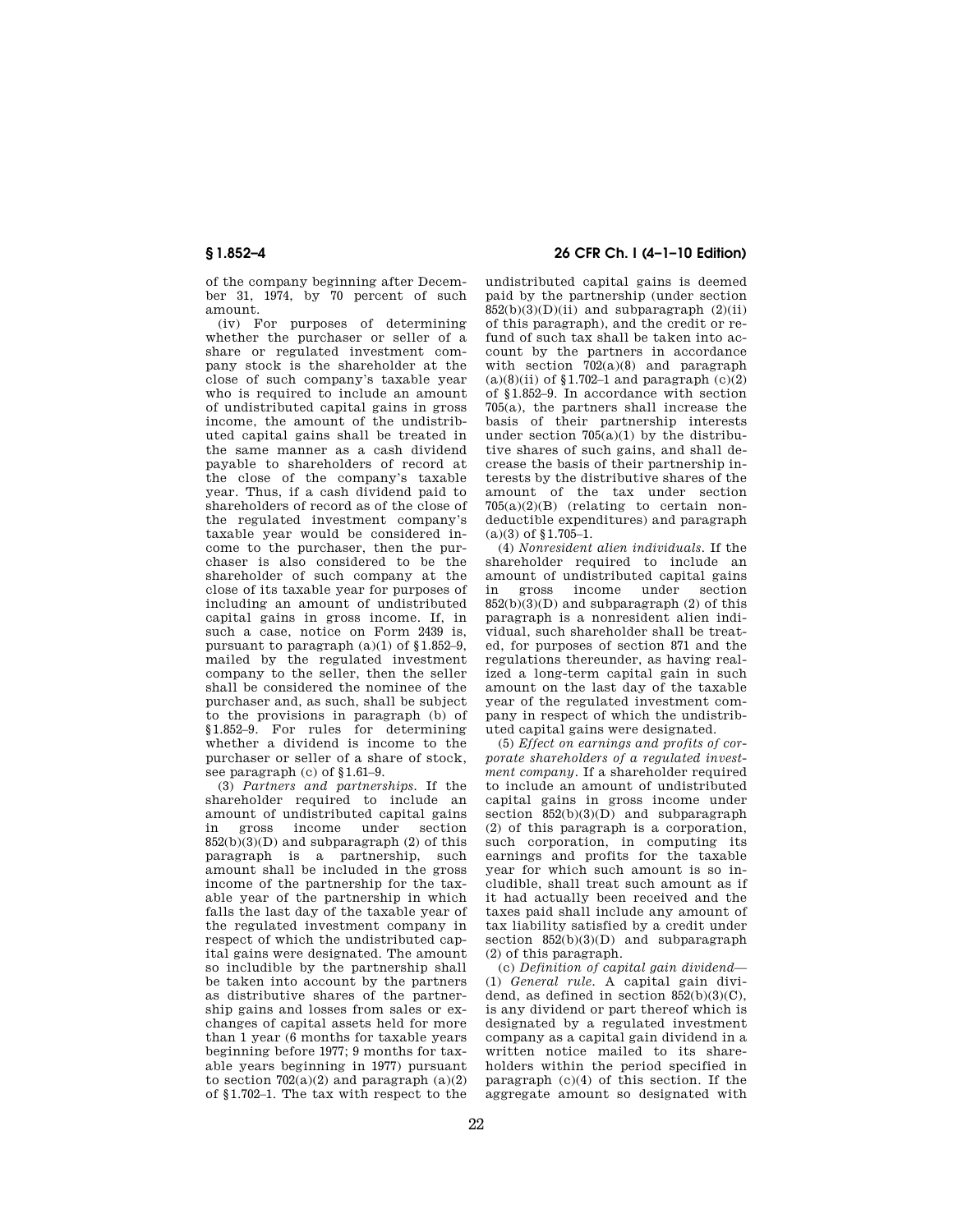of the company beginning after December 31, 1974, by 70 percent of such amount.

(iv) For purposes of determining whether the purchaser or seller of a share or regulated investment company stock is the shareholder at the close of such company's taxable year who is required to include an amount of undistributed capital gains in gross income, the amount of the undistributed capital gains shall be treated in the same manner as a cash dividend payable to shareholders of record at the close of the company's taxable year. Thus, if a cash dividend paid to shareholders of record as of the close of the regulated investment company's taxable year would be considered income to the purchaser, then the purchaser is also considered to be the shareholder of such company at the close of its taxable year for purposes of including an amount of undistributed capital gains in gross income. If, in such a case, notice on Form 2439 is, pursuant to paragraph (a)(1) of §1.852–9, mailed by the regulated investment company to the seller, then the seller shall be considered the nominee of the purchaser and, as such, shall be subject to the provisions in paragraph (b) of §1.852–9. For rules for determining whether a dividend is income to the purchaser or seller of a share of stock, see paragraph (c) of §1.61–9.

(3) *Partners and partnerships.* If the shareholder required to include an amount of undistributed capital gains in gross income under section  $852(b)(3)(D)$  and subparagraph  $(2)$  of this paragraph is a partnership, such amount shall be included in the gross income of the partnership for the taxable year of the partnership in which falls the last day of the taxable year of the regulated investment company in respect of which the undistributed capital gains were designated. The amount so includible by the partnership shall be taken into account by the partners as distributive shares of the partnership gains and losses from sales or exchanges of capital assets held for more than 1 year (6 months for taxable years beginning before 1977; 9 months for taxable years beginning in 1977) pursuant to section  $702(a)(2)$  and paragraph  $(a)(2)$ of §1.702–1. The tax with respect to the

# **§ 1.852–4 26 CFR Ch. I (4–1–10 Edition)**

undistributed capital gains is deemed paid by the partnership (under section  $852(b)(3)(D)(ii)$  and subparagraph  $(2)(ii)$ of this paragraph), and the credit or refund of such tax shall be taken into account by the partners in accordance with section  $702(a)(8)$  and paragraph  $(a)(8)(ii)$  of §1.702–1 and paragraph  $(c)(2)$ of §1.852–9. In accordance with section 705(a), the partners shall increase the basis of their partnership interests under section  $705(a)(1)$  by the distributive shares of such gains, and shall decrease the basis of their partnership interests by the distributive shares of the amount of the tax under section  $705(a)(2)(B)$  (relating to certain nondeductible expenditures) and paragraph (a)(3) of §1.705–1.

(4) *Nonresident alien individuals.* If the shareholder required to include an amount of undistributed capital gains in gross income under section  $852(b)(3)(D)$  and subparagraph  $(2)$  of this paragraph is a nonresident alien individual, such shareholder shall be treated, for purposes of section 871 and the regulations thereunder, as having realized a long-term capital gain in such amount on the last day of the taxable year of the regulated investment company in respect of which the undistributed capital gains were designated.

(5) *Effect on earnings and profits of corporate shareholders of a regulated investment company.* If a shareholder required to include an amount of undistributed capital gains in gross income under section  $852(b)(3)(D)$  and subparagraph (2) of this paragraph is a corporation, such corporation, in computing its earnings and profits for the taxable year for which such amount is so includible, shall treat such amount as if it had actually been received and the taxes paid shall include any amount of tax liability satisfied by a credit under section  $852(b)(3)(D)$  and subparagraph (2) of this paragraph.

(c) *Definition of capital gain dividend*— (1) *General rule.* A capital gain dividend, as defined in section  $852(b)(3)(C)$ , is any dividend or part thereof which is designated by a regulated investment company as a capital gain dividend in a written notice mailed to its shareholders within the period specified in paragraph (c)(4) of this section. If the aggregate amount so designated with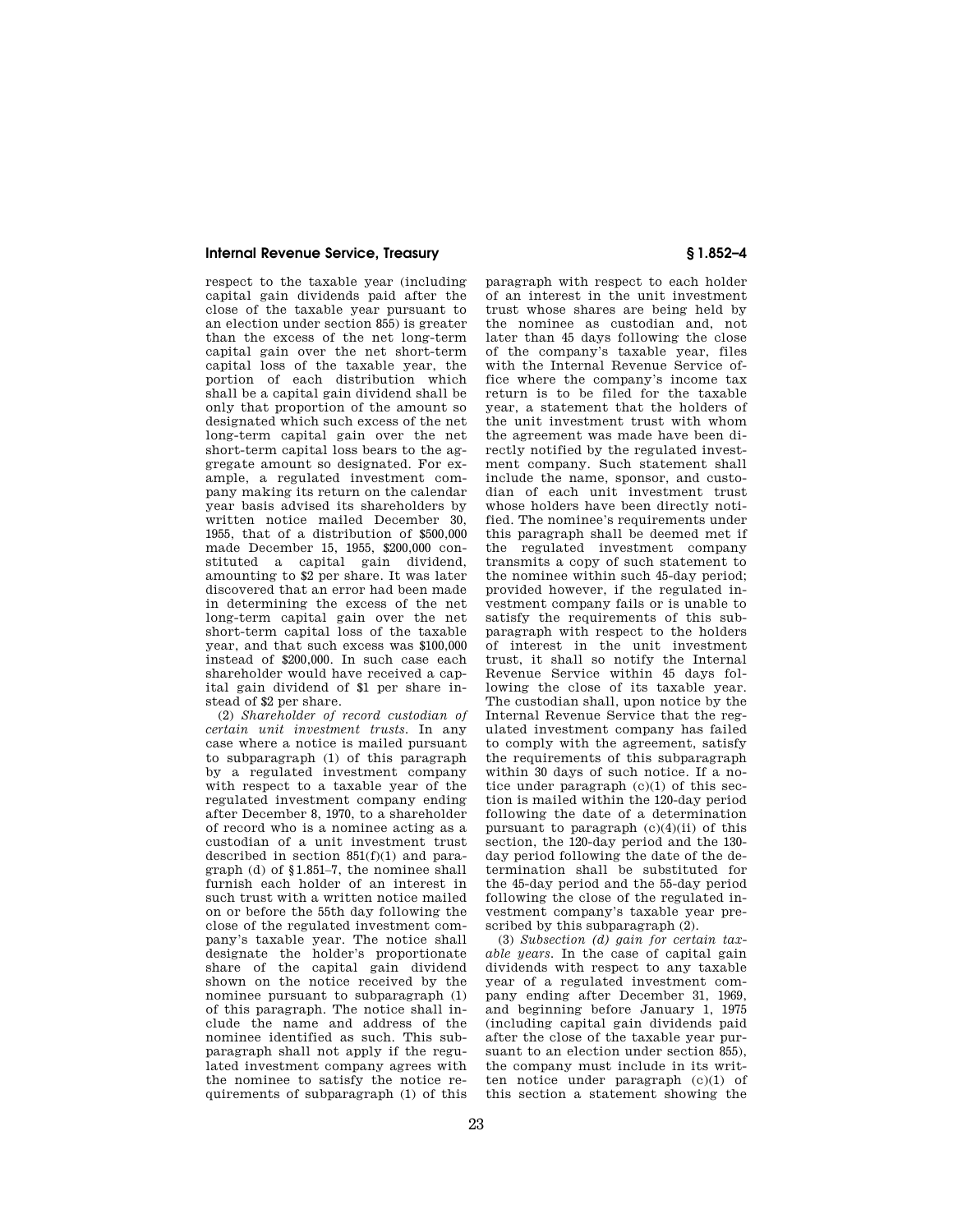# **Internal Revenue Service, Treasury § 1.852–4**

respect to the taxable year (including capital gain dividends paid after the close of the taxable year pursuant to an election under section 855) is greater than the excess of the net long-term capital gain over the net short-term capital loss of the taxable year, the portion of each distribution which shall be a capital gain dividend shall be only that proportion of the amount so designated which such excess of the net long-term capital gain over the net short-term capital loss bears to the aggregate amount so designated. For example, a regulated investment company making its return on the calendar year basis advised its shareholders by written notice mailed December 30, 1955, that of a distribution of \$500,000 made December 15, 1955, \$200,000 constituted a capital gain dividend, amounting to \$2 per share. It was later discovered that an error had been made in determining the excess of the net long-term capital gain over the net short-term capital loss of the taxable year, and that such excess was \$100,000 instead of \$200,000. In such case each shareholder would have received a capital gain dividend of \$1 per share instead of \$2 per share.

(2) *Shareholder of record custodian of certain unit investment trusts.* In any case where a notice is mailed pursuant to subparagraph (1) of this paragraph by a regulated investment company with respect to a taxable year of the regulated investment company ending after December 8, 1970, to a shareholder of record who is a nominee acting as a custodian of a unit investment trust described in section 851(f)(1) and paragraph (d) of §1.851–7, the nominee shall furnish each holder of an interest in such trust with a written notice mailed on or before the 55th day following the close of the regulated investment company's taxable year. The notice shall designate the holder's proportionate share of the capital gain dividend shown on the notice received by the nominee pursuant to subparagraph (1) of this paragraph. The notice shall include the name and address of the nominee identified as such. This subparagraph shall not apply if the regulated investment company agrees with the nominee to satisfy the notice requirements of subparagraph (1) of this

paragraph with respect to each holder of an interest in the unit investment trust whose shares are being held by the nominee as custodian and, not later than 45 days following the close of the company's taxable year, files with the Internal Revenue Service office where the company's income tax return is to be filed for the taxable year, a statement that the holders of the unit investment trust with whom the agreement was made have been directly notified by the regulated investment company. Such statement shall include the name, sponsor, and custodian of each unit investment trust whose holders have been directly notified. The nominee's requirements under this paragraph shall be deemed met if the regulated investment company transmits a copy of such statement to the nominee within such 45-day period; provided however, if the regulated investment company fails or is unable to satisfy the requirements of this subparagraph with respect to the holders of interest in the unit investment trust, it shall so notify the Internal Revenue Service within 45 days following the close of its taxable year. The custodian shall, upon notice by the Internal Revenue Service that the regulated investment company has failed to comply with the agreement, satisfy the requirements of this subparagraph within 30 days of such notice. If a notice under paragraph (c)(1) of this section is mailed within the 120-day period following the date of a determination pursuant to paragraph  $(c)(4)(ii)$  of this section, the 120-day period and the 130 day period following the date of the determination shall be substituted for the 45-day period and the 55-day period following the close of the regulated investment company's taxable year prescribed by this subparagraph (2).

(3) *Subsection (d) gain for certain taxable years.* In the case of capital gain dividends with respect to any taxable year of a regulated investment company ending after December 31, 1969, and beginning before January 1, 1975 (including capital gain dividends paid after the close of the taxable year pursuant to an election under section 855), the company must include in its written notice under paragraph (c)(1) of this section a statement showing the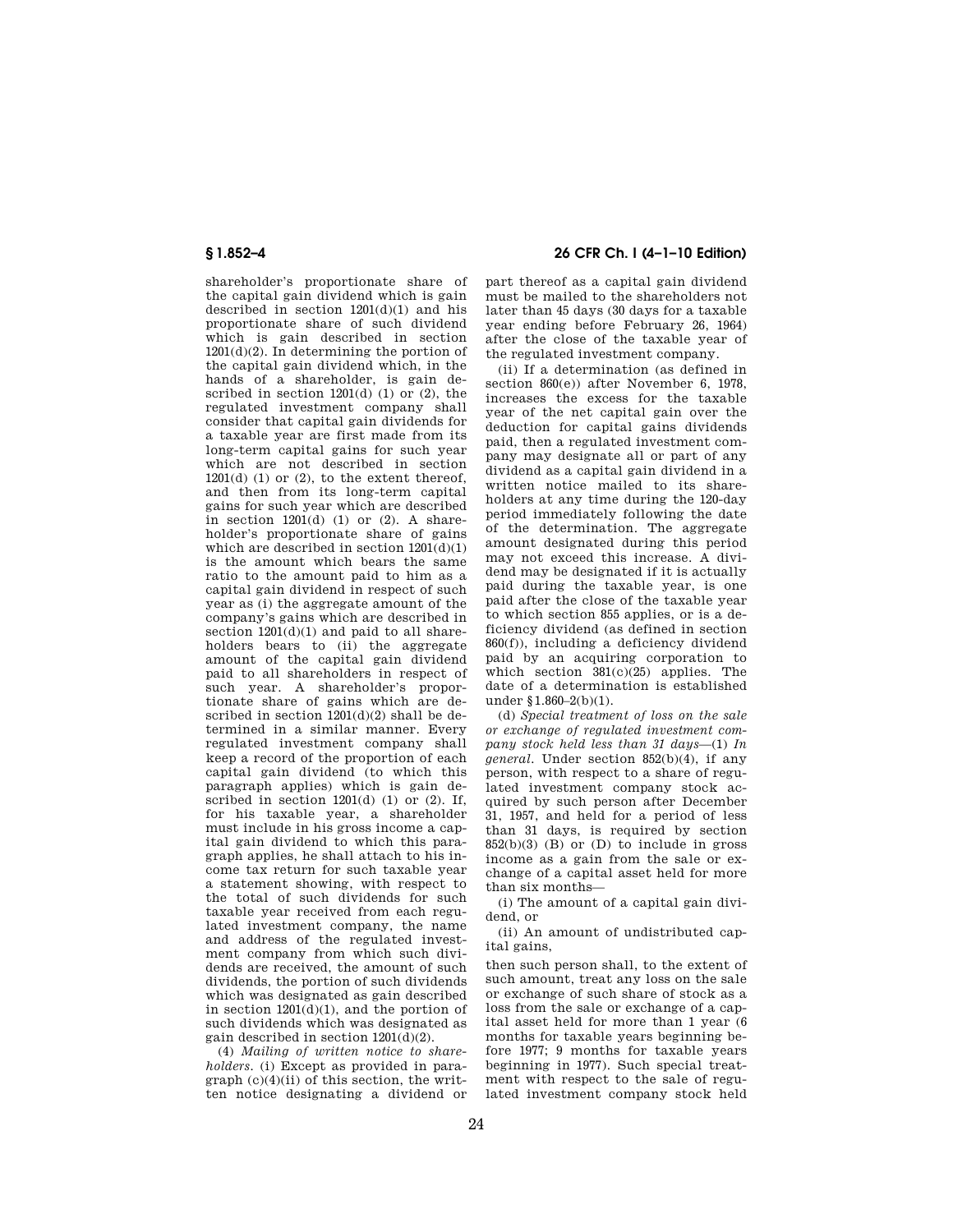shareholder's proportionate share of the capital gain dividend which is gain described in section  $1201(d)(1)$  and his proportionate share of such dividend which is gain described in section 1201(d)(2). In determining the portion of the capital gain dividend which, in the hands of a shareholder, is gain described in section  $1201(d)$  (1) or (2), the regulated investment company shall consider that capital gain dividends for a taxable year are first made from its long-term capital gains for such year which are not described in section  $1201(d)$  (1) or (2), to the extent thereof, and then from its long-term capital gains for such year which are described in section  $1201(d)$  (1) or (2). A shareholder's proportionate share of gains which are described in section  $1201(d)(1)$ is the amount which bears the same ratio to the amount paid to him as a capital gain dividend in respect of such year as (i) the aggregate amount of the company's gains which are described in section  $1201(d)(1)$  and paid to all shareholders bears to (ii) the aggregate amount of the capital gain dividend paid to all shareholders in respect of such year. A shareholder's proportionate share of gains which are described in section 1201(d)(2) shall be determined in a similar manner. Every regulated investment company shall keep a record of the proportion of each capital gain dividend (to which this paragraph applies) which is gain described in section  $1201(d)$  (1) or (2). If, for his taxable year, a shareholder must include in his gross income a capital gain dividend to which this paragraph applies, he shall attach to his income tax return for such taxable year a statement showing, with respect to the total of such dividends for such taxable year received from each regulated investment company, the name and address of the regulated investment company from which such dividends are received, the amount of such dividends, the portion of such dividends which was designated as gain described in section  $1201(d)(1)$ , and the portion of such dividends which was designated as gain described in section 1201(d)(2).

(4) *Mailing of written notice to shareholders.* (i) Except as provided in paragraph  $(c)(4)(ii)$  of this section, the written notice designating a dividend or

# **§ 1.852–4 26 CFR Ch. I (4–1–10 Edition)**

part thereof as a capital gain dividend must be mailed to the shareholders not later than 45 days (30 days for a taxable year ending before February 26, 1964) after the close of the taxable year of the regulated investment company.

(ii) If a determination (as defined in section 860(e)) after November 6, 1978, increases the excess for the taxable year of the net capital gain over the deduction for capital gains dividends paid, then a regulated investment company may designate all or part of any dividend as a capital gain dividend in a written notice mailed to its shareholders at any time during the 120-day period immediately following the date of the determination. The aggregate amount designated during this period may not exceed this increase. A dividend may be designated if it is actually paid during the taxable year, is one paid after the close of the taxable year to which section 855 applies, or is a deficiency dividend (as defined in section 860(f)), including a deficiency dividend paid by an acquiring corporation to which section 381(c)(25) applies. The date of a determination is established under §1.860-2(b)(1).

(d) *Special treatment of loss on the sale or exchange of regulated investment company stock held less than 31 days*—(1) *In general.* Under section 852(b)(4), if any person, with respect to a share of regulated investment company stock acquired by such person after December 31, 1957, and held for a period of less than 31 days, is required by section  $852(b)(3)$  (B) or (D) to include in gross income as a gain from the sale or exchange of a capital asset held for more than six months—

(i) The amount of a capital gain dividend, or

(ii) An amount of undistributed capital gains,

then such person shall, to the extent of such amount, treat any loss on the sale or exchange of such share of stock as a loss from the sale or exchange of a capital asset held for more than 1 year (6 months for taxable years beginning before 1977; 9 months for taxable years beginning in 1977). Such special treatment with respect to the sale of regulated investment company stock held